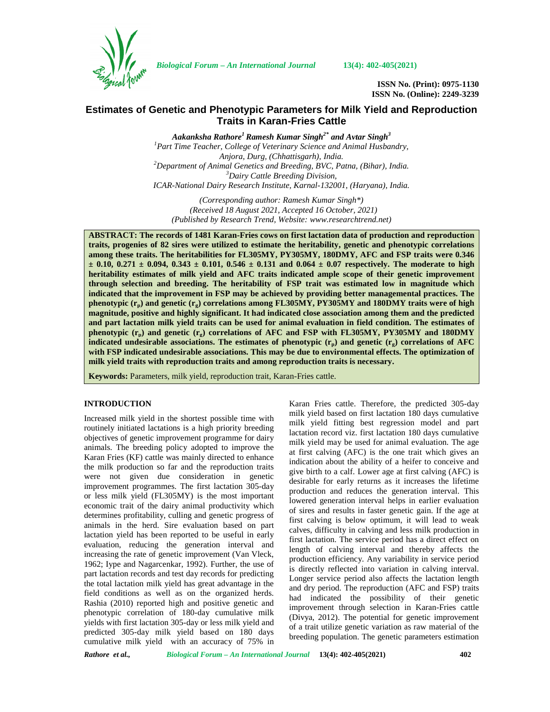

*Biological Forum – An International Journal* **13(4): 402-405(2021)**

**ISSN No. (Print): 0975-1130 ISSN No. (Online): 2249-3239**

# **Estimates of Genetic and Phenotypic Parameters for Milk Yield and Reproduction Traits in Karan-Fries Cattle**

*Aakanksha Rathore<sup>1</sup> Ramesh Kumar Singh2\* and Avtar Singh<sup>3</sup> <sup>1</sup>Part Time Teacher, College of Veterinary Science and Animal Husbandry, Anjora, Durg, (Chhattisgarh), India. <sup>2</sup>Department of Animal Genetics and Breeding, BVC, Patna, (Bihar), India. <sup>3</sup>Dairy Cattle Breeding Division, ICAR-National Dairy Research Institute, Karnal-132001, (Haryana), India.*

*(Corresponding author: Ramesh Kumar Singh\*) (Received 18 August 2021, Accepted 16 October, 2021) (Published by Research Trend, Website: [www.researchtrend.net\)](www.researchtrend.net)*

**ABSTRACT: The records of 1481 Karan-Fries cows on first lactation data of production and reproduction traits, progenies of 82 sires were utilized to estimate the heritability, genetic and phenotypic correlations among these traits. The heritabilities for FL305MY, PY305MY, 180DMY, AFC and FSP traits were 0.346 ± 0.10, 0.271 ± 0.094, 0.343 ± 0.101, 0.546 ± 0.131 and 0.064 ± 0.07 respectively. The moderate to high heritability estimates of milk yield and AFC traits indicated ample scope of their genetic improvement through selection and breeding. The heritability of FSP trait was estimated low in magnitude which indicated that the improvement in FSP may be achieved by providing better managemental practices. The phenotypic (rp) and genetic (rg) correlations among FL305MY, PY305MY and 180DMY traits were of high magnitude, positive and highly significant. It had indicated close association among them and the predicted and part lactation milk yield traits can be used for animal evaluation in field condition. The estimates of phenotypic (rp) and genetic (rg) correlations of AFC and FSP with FL305MY, PY305MY and 180DMY indicated undesirable associations. The estimates of phenotypic**  $(r_p)$  **and genetic**  $(r_p)$  **correlations of AFC with FSP indicated undesirable associations. This may be due to environmental effects. The optimization of milk yield traits with reproduction traits and among reproduction traits is necessary.**

**Keywords:** Parameters, milk yield, reproduction trait, Karan-Fries cattle.

### **INTRODUCTION**

Increased milk yield in the shortest possible time with routinely initiated lactations is a high priority breeding objectives of genetic improvement programme for dairy animals. The breeding policy adopted to improve the Karan Fries (KF) cattle was mainly directed to enhance the milk production so far and the reproduction traits were not given due consideration in genetic improvement programmes. The first lactation 305-day or less milk yield (FL305MY) is the most important economic trait of the dairy animal productivity which determines profitability, culling and genetic progress of animals in the herd. Sire evaluation based on part lactation yield has been reported to be useful in early evaluation, reducing the generation interval and increasing the rate of genetic improvement (Van Vleck, 1962; Iype and Nagarcenkar, 1992). Further, the use of part lactation records and test day records for predicting the total lactation milk yield has great advantage in the field conditions as well as on the organized herds. Rashia (2010) reported high and positive genetic and phenotypic correlation of 180-day cumulative milk yields with first lactation 305-day or less milk yield and predicted 305-day milk yield based on 180 days cumulative milk yield with an accuracy of 75% in

Karan Fries cattle. Therefore, the predicted 305-day milk yield based on first lactation 180 days cumulative milk yield fitting best regression model and part lactation record viz. first lactation 180 days cumulative milk yield may be used for animal evaluation. The age at first calving (AFC) is the one trait which gives an indication about the ability of a heifer to conceive and give birth to a calf. Lower age at first calving (AFC) is desirable for early returns as it increases the lifetime production and reduces the generation interval. This lowered generation interval helps in earlier evaluation of sires and results in faster genetic gain. If the age at first calving is below optimum, it will lead to weak calves, difficulty in calving and less milk production in first lactation. The service period has a direct effect on length of calving interval and thereby affects the production efficiency. Any variability in service period is directly reflected into variation in calving interval. Longer service period also affects the lactation length and dry period. The reproduction (AFC and FSP) traits had indicated the possibility of their genetic improvement through selection in Karan-Fries cattle (Divya, 2012). The potential for genetic improvement of a trait utilize genetic variation as raw material of the breeding population. The genetic parameters estimation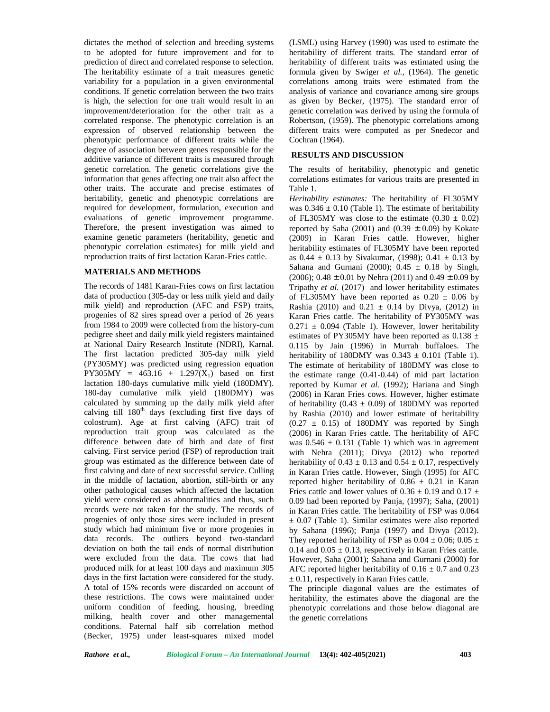dictates the method of selection and breeding systems to be adopted for future improvement and for to prediction of direct and correlated response to selection. The heritability estimate of a trait measures genetic variability for a population in a given environmental conditions. If genetic correlation between the two traits is high, the selection for one trait would result in an improvement/deterioration for the other trait as a correlated response. The phenotypic correlation is an expression of observed relationship between the phenotypic performance of different traits while the degree of association between genes responsible for the additive variance of different traits is measured through genetic correlation. The genetic correlations give the information that genes affecting one trait also affect the other traits. The accurate and precise estimates of heritability, genetic and phenotypic correlations are required for development, formulation, execution and evaluations of genetic improvement programme. Therefore, the present investigation was aimed to examine genetic parameters (heritability, genetic and phenotypic correlation estimates) for milk yield and reproduction traits of first lactation Karan-Fries cattle.

### **MATERIALS AND METHODS**

The records of 1481 Karan-Fries cows on first lactation data of production (305-day or less milk yield and daily milk yield) and reproduction (AFC and FSP) traits, progenies of 82 sires spread over a period of 26 years from 1984 to 2009 were collected from the history-cum pedigree sheet and daily milk yield registers maintained at National Dairy Research Institute (NDRI), Karnal. The first lactation predicted 305-day milk yield (PY305MY) was predicted using regression equation PY305MY =  $463.16 + 1.297(X_1)$  based on first lactation 180-days cumulative milk yield (180DMY). 180-day cumulative milk yield (180DMY) was calculated by summing up the daily milk yield after calving till  $180<sup>th</sup>$  days (excluding first five days of colostrum). Age at first calving (AFC) trait of reproduction trait group was calculated as the difference between date of birth and date of first calving. First service period (FSP) of reproduction trait group was estimated as the difference between date of first calving and date of next successful service. Culling in the middle of lactation, abortion, still-birth or any other pathological causes which affected the lactation yield were considered as abnormalities and thus, such records were not taken for the study. The records of progenies of only those sires were included in present study which had minimum five or more progenies in data records. The outliers beyond two-standard deviation on both the tail ends of normal distribution were excluded from the data. The cows that had produced milk for at least 100 days and maximum 305 days in the first lactation were considered for the study. A total of 15% records were discarded on account of these restrictions. The cows were maintained under uniform condition of feeding, housing, breeding milking, health cover and other managemental conditions. Paternal half sib correlation method (Becker, 1975) under least-squares mixed model

(LSML) using Harvey (1990) was used to estimate the heritability of different traits. The standard error of heritability of different traits was estimated using the formula given by Swiger *et al.,* (1964). The genetic correlations among traits were estimated from the analysis of variance and covariance among sire groups as given by Becker, (1975). The standard error of genetic correlation was derived by using the formula of Robertson, (1959). The phenotypic correlations among different traits were computed as per Snedecor and Cochran (1964).

#### **RESULTS AND DISCUSSION**

The results of heritability, phenotypic and genetic correlations estimates for various traits are presented in Table 1.

*Heritability estimates:* The heritability of FL305MY was  $0.346 \pm 0.10$  (Table 1). The estimate of heritability of FL305MY was close to the estimate  $(0.30 \pm 0.02)$ reported by Saha (2001) and (0.39  $\pm$  0.09) by Kokate (2009) in Karan Fries cattle. However, higher heritability estimates of FL305MY have been reported as  $0.44 \pm 0.13$  by Sivakumar, (1998);  $0.41 \pm 0.13$  by Sahana and Gurnani (2000);  $0.45 \pm 0.18$  by Singh, (2006);  $0.48 \pm 0.01$  by Nehra (2011) and  $0.49 \pm 0.09$  by Tripathy *et al.* (2017) and lower heritability estimates of FL305MY have been reported as  $0.20 \pm 0.06$  by Rashia (2010) and  $0.21 \pm 0.14$  by Divya, (2012) in Karan Fries cattle. The heritability of PY305MY was  $0.271 \pm 0.094$  (Table 1). However, lower heritability estimates of PY305MY have been reported as 0.138  $\pm$ 0.115 by Jain (1996) in Murrah buffaloes. The heritability of 180DMY was  $0.343 \pm 0.101$  (Table 1). The estimate of heritability of 180DMY was close to the estimate range (0.41-0.44) of mid part lactation reported by Kumar *et al.* (1992); Hariana and Singh (2006) in Karan Fries cows. However, higher estimate of heritability (0.43  $\pm$  0.09) of 180DMY was reported by Rashia (2010) and lower estimate of heritability  $(0.27 \pm 0.15)$  of 180DMY was reported by Singh (2006) in Karan Fries cattle. The heritability of AFC was  $0.546 \pm 0.131$  (Table 1) which was in agreement with Nehra (2011); Divya (2012) who reported heritability of  $0.43 \pm 0.13$  and  $0.54 \pm 0.17$ , respectively in Karan Fries cattle. However, Singh (1995) for AFC reported higher heritability of  $0.86 \pm 0.21$  in Karan Fries cattle and lower values of  $0.36 \pm 0.19$  and  $0.17 \pm 1.5$ 0.09 had been reported by Panja, (1997); Saha, (2001) in Karan Fries cattle. The heritability of FSP was 0.064  $\pm$  0.07 (Table 1). Similar estimates were also reported by Sahana (1996); Panja (1997) and Divya (2012). They reported heritability of FSP as  $0.04 \pm 0.06$ ;  $0.05 \pm 1$ 0.14 and  $0.05 \pm 0.13$ , respectively in Karan Fries cattle. However, Saha (2001); Sahana and Gurnani (2000) for AFC reported higher heritability of  $0.16 \pm 0.7$  and  $0.23$  $\pm$  0.11, respectively in Karan Fries cattle.

The principle diagonal values are the estimates of heritability, the estimates above the diagonal are the phenotypic correlations and those below diagonal are the genetic correlations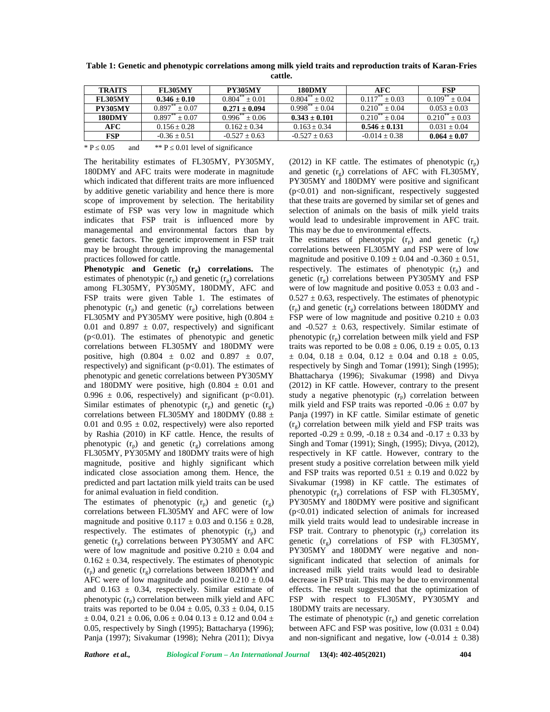| <b>TRAITS</b>  | <b>FL305MY</b>   | <b>PY305MY</b>        | 180DMY                       | AFC                              | <b>FSP</b>              |
|----------------|------------------|-----------------------|------------------------------|----------------------------------|-------------------------|
| <b>FL305MY</b> | $0.346 \pm 0.10$ | $0.804^{24} + 0.01$   | $0.804^{\degree}$<br>$+0.02$ | $0.117$ <sup>**</sup><br>$+0.03$ | $0.109***$<br>$+0.04$   |
| <b>PY305MY</b> | 0.897<br>$+0.07$ | $0.271 \pm 0.094$     | $0.998***$<br>$+0.04$        | $0.210^{**} + 0.04$              | $0.053 + 0.03$          |
| <b>180DMY</b>  | 0.897<br>$+0.07$ | $0.996***$<br>$+0.06$ | $0.343 \pm 0.101$            | $0.210^{**} + 0.04$              | $0.210**$<br>$\pm 0.03$ |
| AFC            | $0.156 + 0.28$   | $0.162 + 0.34$        | $0.163 + 0.34$               | $0.546 \pm 0.131$                | $0.031 + 0.04$          |
| <b>FSP</b>     | $-0.36 + 0.51$   | $-0.527 \pm 0.63$     | $-0.527 + 0.63$              | $-0.014 + 0.38$                  | $0.064 \pm 0.07$        |

**Table 1: Genetic and phenotypic correlations among milk yield traits and reproduction traits of Karan-Fries cattle.**

\* P 0.05 and \*\* P 0.01 level of significance

The heritability estimates of FL305MY, PY305MY, 180DMY and AFC traits were moderate in magnitude which indicated that different traits are more influenced by additive genetic variability and hence there is more scope of improvement by selection. The heritability estimate of FSP was very low in magnitude which indicates that FSP trait is influenced more by managemental and environmental factors than by genetic factors. The genetic improvement in FSP trait may be brought through improving the managemental practices followed for cattle.

**Phenotypic and Genetic (rg) correlations.** The estimates of phenotypic  $(r_p)$  and genetic  $(r_g)$  correlations among FL305MY, PY305MY, 180DMY, AFC and FSP traits were given Table 1. The estimates of phenotypic  $(r_p)$  and genetic  $(r_g)$  correlations between FL305MY and PY305MY were positive, high (0.804  $\pm$ 0.01 and 0.897  $\pm$  0.07, respectively) and significant (p<0.01). The estimates of phenotypic and genetic correlations between FL305MY and 180DMY were positive, high  $(0.804 \pm 0.02 \text{ and } 0.897 \pm 0.07)$ , respectively) and significant ( $p<0.01$ ). The estimates of phenotypic and genetic correlations between PY305MY and 180DMY were positive, high  $(0.804 \pm 0.01$  and 0.996  $\pm$  0.06, respectively) and significant (p<0.01). Similar estimates of phenotypic  $(r_p)$  and genetic  $(r_g)$ correlations between FL305MY and 180DMY (0.88  $\pm$ 0.01 and 0.95  $\pm$  0.02, respectively) were also reported by Rashia (2010) in KF cattle. Hence, the results of phenotypic  $(r_n)$  and genetic  $(r_o)$  correlations among FL305MY, PY305MY and 180DMY traits were of high magnitude, positive and highly significant which indicated close association among them. Hence, the predicted and part lactation milk yield traits can be used for animal evaluation in field condition.

The estimates of phenotypic  $(r_n)$  and genetic  $(r_g)$ correlations between FL305MY and AFC were of low magnitude and positive  $0.117 \pm 0.03$  and  $0.156 \pm 0.28$ , respectively. The estimates of phenotypic  $(r_n)$  and genetic  $(r<sub>o</sub>)$  correlations between PY305MY and AFC were of low magnitude and positive  $0.210 \pm 0.04$  and  $0.162 \pm 0.34$ , respectively. The estimates of phenotypic  $(r_n)$  and genetic  $(r_n)$  correlations between 180DMY and AFC were of low magnitude and positive  $0.210 \pm 0.04$ and  $0.163 \pm 0.34$ , respectively. Similar estimate of phenotypic  $(r_n)$  correlation between milk yield and AFC traits was reported to be  $0.04 \pm 0.05$ ,  $0.33 \pm 0.04$ ,  $0.15$  $\pm$  0.04, 0.21  $\pm$  0.06, 0.06  $\pm$  0.04 0.13  $\pm$  0.12 and 0.04  $\pm$ 0.05, respectively by Singh (1995); Battacharya (1996); Panja (1997); Sivakumar (1998); Nehra (2011); Divya

(2012) in KF cattle. The estimates of phenotypic  $(r_n)$ and genetic  $(r<sub>o</sub>)$  correlations of AFC with FL305MY, PY305MY and 180DMY were positive and significant (p<0.01) and non-significant, respectively suggested that these traits are governed by similar set of genes and selection of animals on the basis of milk yield traits would lead to undesirable improvement in AFC trait. This may be due to environmental effects.

The estimates of phenotypic  $(r_n)$  and genetic  $(r_{\alpha})$ correlations between FL305MY and FSP were of low magnitude and positive  $0.109 \pm 0.04$  and  $-0.360 \pm 0.51$ , respectively. The estimates of phenotypic  $(r_p)$  and genetic  $(r<sub>o</sub>)$  correlations between PY305MY and FSP were of low magnitude and positive  $0.053 \pm 0.03$  and - $0.527 \pm 0.63$ , respectively. The estimates of phenotypic  $(r_p)$  and genetic  $(r_g)$  correlations between 180DMY and FSP were of low magnitude and positive  $0.210 \pm 0.03$ and  $-0.527 \pm 0.63$ , respectively. Similar estimate of phenotypic  $(r_p)$  correlation between milk yield and FSP traits was reported to be  $0.08 \pm 0.06$ ,  $0.19 \pm 0.05$ ,  $0.13$  $\pm$  0.04, 0.18  $\pm$  0.04, 0.12  $\pm$  0.04 and 0.18  $\pm$  0.05, respectively by Singh and Tomar (1991); Singh (1995); Bhattacharya (1996); Sivakumar (1998) and Divya (2012) in KF cattle. However, contrary to the present study a negative phenotypic  $(r_p)$  correlation between milk yield and FSP traits was reported  $-0.06 \pm 0.07$  by Panja (1997) in KF cattle. Similar estimate of genetic  $(r<sub>g</sub>)$  correlation between milk yield and FSP traits was reported  $-0.29 \pm 0.99$ ,  $-0.18 \pm 0.34$  and  $-0.17 \pm 0.33$  by Singh and Tomar (1991); Singh, (1995); Divya, (2012), respectively in KF cattle. However, contrary to the present study a positive correlation between milk yield and FSP traits was reported  $0.51 \pm 0.19$  and  $0.022$  by Sivakumar (1998) in KF cattle. The estimates of phenotypic  $(r_p)$  correlations of FSP with FL305MY, PY305MY and 180DMY were positive and significant  $(p<0.01)$  indicated selection of animals for increased milk yield traits would lead to undesirable increase in FSP trait. Contrary to phenotypic  $(r_n)$  correlation its genetic  $(r_0)$  correlations of FSP with FL305MY, PY305MY and 180DMY were negative and non significant indicated that selection of animals for increased milk yield traits would lead to desirable decrease in FSP trait. This may be due to environmental effects. The result suggested that the optimization of FSP with respect to FL305MY, PY305MY and 180DMY traits are necessary.

The estimate of phenotypic  $(r_p)$  and genetic correlation between AFC and FSP was positive, low  $(0.031 \pm 0.04)$ and non-significant and negative, low  $(-0.014 \pm 0.38)$